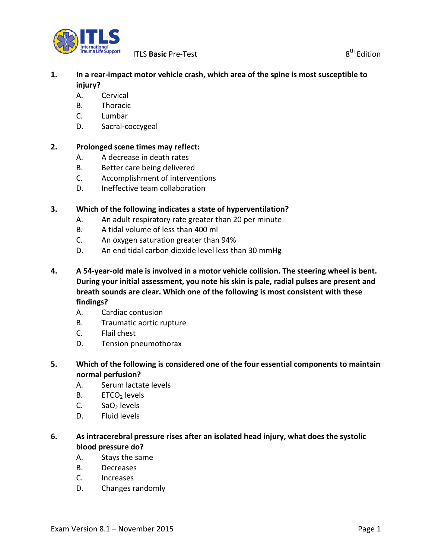

# **1. In a rear-impact motor vehicle crash, which area of the spine is most susceptible to injury?**

- A. Cervical
- B. Thoracic
- C. Lumbar
- D. Sacral-coccygeal

### **2. Prolonged scene times may reflect:**

- A. A decrease in death rates
- B. Better care being delivered
- C. Accomplishment of interventions
- D. Ineffective team collaboration

### **3. Which of the following indicates a state of hyperventilation?**

- A. An adult respiratory rate greater than 20 per minute
- B. A tidal volume of less than 400 ml
- C. An oxygen saturation greater than 94%
- D. An end tidal carbon dioxide level less than 30 mmHg
- **4. A 54-year-old male is involved in a motor vehicle collision. The steering wheel is bent. During your initial assessment, you note his skin is pale, radial pulses are present and breath sounds are clear. Which one of the following is most consistent with these findings?**
	- A. Cardiac contusion
	- B. Traumatic aortic rupture
	- C. Flail chest
	- D. Tension pneumothorax
- **5. Which of the following is considered one of the four essential components to maintain normal perfusion?**
	- A. Serum lactate levels
	- $B.$  ETCO<sub>2</sub> levels
	- C.  $SaO<sub>2</sub>$  levels
	- D. Fluid levels

# **6. As intracerebral pressure rises after an isolated head injury, what does the systolic blood pressure do?**

- A. Stays the same
- B. Decreases
- C. Increases
- D. Changes randomly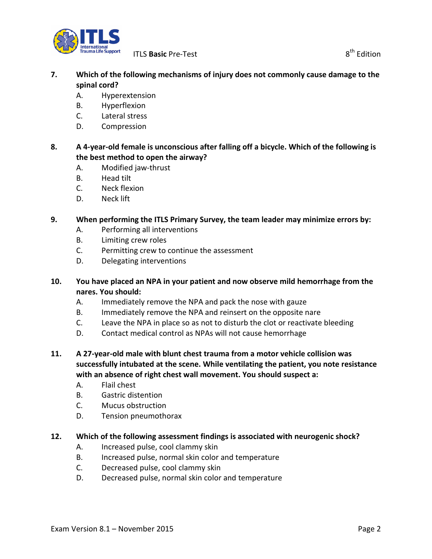

**ITLS Basic** Pre-Test 8<sup>th</sup> Edition

# **7. Which of the following mechanisms of injury does not commonly cause damage to the spinal cord?**

- A. Hyperextension
- B. Hyperflexion
- C. Lateral stress
- D. Compression

# **8. A 4-year-old female is unconscious after falling off a bicycle. Which of the following is the best method to open the airway?**

- A. Modified jaw-thrust
- B. Head tilt
- C. Neck flexion
- D. Neck lift

# **9. When performing the ITLS Primary Survey, the team leader may minimize errors by:**

- A. Performing all interventions
- B. Limiting crew roles
- C. Permitting crew to continue the assessment
- D. Delegating interventions

# **10. You have placed an NPA in your patient and now observe mild hemorrhage from the nares. You should:**

- A. Immediately remove the NPA and pack the nose with gauze
- B. Immediately remove the NPA and reinsert on the opposite nare
- C. Leave the NPA in place so as not to disturb the clot or reactivate bleeding
- D. Contact medical control as NPAs will not cause hemorrhage
- **11. A 27-year-old male with blunt chest trauma from a motor vehicle collision was successfully intubated at the scene. While ventilating the patient, you note resistance with an absence of right chest wall movement. You should suspect a:** 
	- A. Flail chest
	- B. Gastric distention
	- C. Mucus obstruction
	- D. Tension pneumothorax

# **12. Which of the following assessment findings is associated with neurogenic shock?**

- A. Increased pulse, cool clammy skin
- B. Increased pulse, normal skin color and temperature
- C. Decreased pulse, cool clammy skin
- D. Decreased pulse, normal skin color and temperature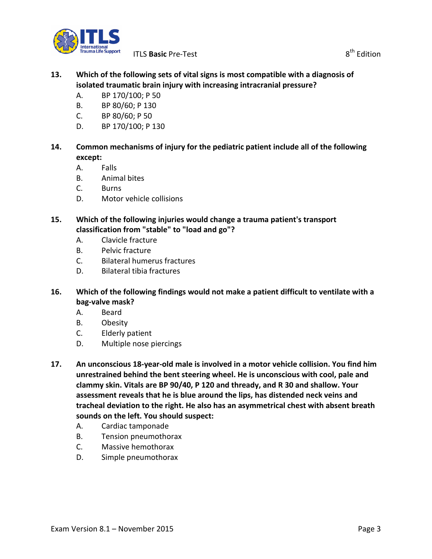

# **13. Which of the following sets of vital signs is most compatible with a diagnosis of isolated traumatic brain injury with increasing intracranial pressure?**

- A. BP 170/100; P 50
- B. BP 80/60; P 130
- C. BP 80/60; P 50
- D. BP 170/100; P 130
- **14. Common mechanisms of injury for the pediatric patient include all of the following except:**
	- A. Falls
	- B. Animal bites
	- C. Burns
	- D. Motor vehicle collisions
- **15. Which of the following injuries would change a trauma patient's transport classification from "stable" to "load and go"?**
	- A. Clavicle fracture
	- B. Pelvic fracture
	- C. Bilateral humerus fractures
	- D. Bilateral tibia fractures
- **16. Which of the following findings would not make a patient difficult to ventilate with a bag-valve mask?**
	- A. Beard
	- B. Obesity
	- C. Elderly patient
	- D. Multiple nose piercings
- **17. An unconscious 18-year-old male is involved in a motor vehicle collision. You find him unrestrained behind the bent steering wheel. He is unconscious with cool, pale and clammy skin. Vitals are BP 90/40, P 120 and thready, and R 30 and shallow. Your assessment reveals that he is blue around the lips, has distended neck veins and tracheal deviation to the right. He also has an asymmetrical chest with absent breath sounds on the left. You should suspect:**
	- A. Cardiac tamponade
	- B. Tension pneumothorax
	- C. Massive hemothorax
	- D. Simple pneumothorax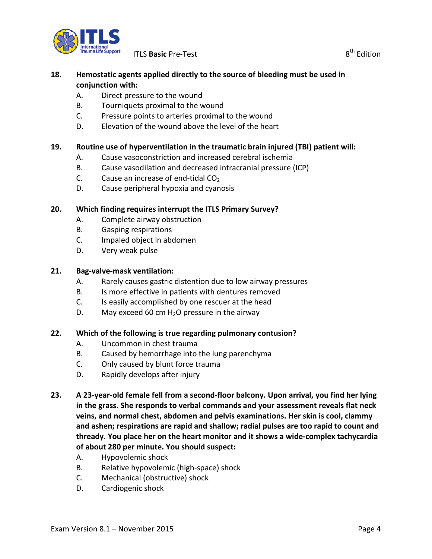

**ITLS Basic** Pre-Test 8<sup>th</sup> Edition

### **18. Hemostatic agents applied directly to the source of bleeding must be used in conjunction with:**

- A. Direct pressure to the wound
- B. Tourniquets proximal to the wound
- C. Pressure points to arteries proximal to the wound
- D. Elevation of the wound above the level of the heart

### **19. Routine use of hyperventilation in the traumatic brain injured (TBI) patient will:**

- A. Cause vasoconstriction and increased cerebral ischemia
- B. Cause vasodilation and decreased intracranial pressure (ICP)
- C. Cause an increase of end-tidal  $CO<sub>2</sub>$
- D. Cause peripheral hypoxia and cyanosis

### **20. Which finding requires interrupt the ITLS Primary Survey?**

- A. Complete airway obstruction
- B. Gasping respirations
- C. Impaled object in abdomen
- D. Very weak pulse

#### **21. Bag-valve-mask ventilation:**

- A. Rarely causes gastric distention due to low airway pressures
- B. Is more effective in patients with dentures removed
- C. Is easily accomplished by one rescuer at the head
- D. May exceed 60 cm  $H_2O$  pressure in the airway

#### **22. Which of the following is true regarding pulmonary contusion?**

- A. Uncommon in chest trauma
- B. Caused by hemorrhage into the lung parenchyma
- C. Only caused by blunt force trauma
- D. Rapidly develops after injury
- **23. A 23-year-old female fell from a second-floor balcony. Upon arrival, you find her lying in the grass. She responds to verbal commands and your assessment reveals flat neck veins, and normal chest, abdomen and pelvis examinations. Her skin is cool, clammy and ashen; respirations are rapid and shallow; radial pulses are too rapid to count and thready. You place her on the heart monitor and it shows a wide-complex tachycardia of about 280 per minute. You should suspect:**
	- A. Hypovolemic shock
	- B. Relative hypovolemic (high-space) shock
	- C. Mechanical (obstructive) shock
	- D. Cardiogenic shock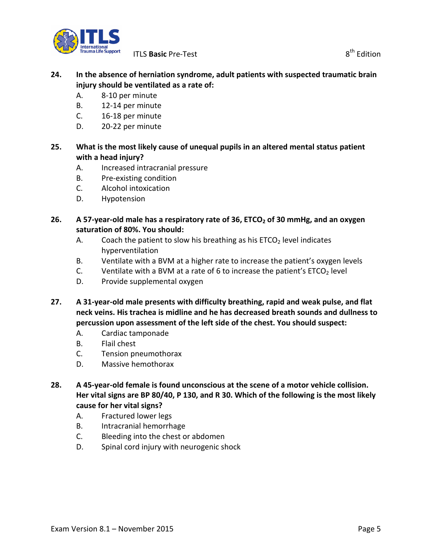

### **24. In the absence of herniation syndrome, adult patients with suspected traumatic brain injury should be ventilated as a rate of:**

- A. 8-10 per minute
- B. 12-14 per minute
- C. 16-18 per minute
- D. 20-22 per minute

# **25. What is the most likely cause of unequal pupils in an altered mental status patient with a head injury?**

- A. Increased intracranial pressure
- B. Pre-existing condition
- C. Alcohol intoxication
- D. Hypotension

### **26. A 57-year-old male has a respiratory rate of 36, ETCO2 of 30 mmHg, and an oxygen saturation of 80%. You should:**

- A. Coach the patient to slow his breathing as his  $ETCO<sub>2</sub>$  level indicates hyperventilation
- B. Ventilate with a BVM at a higher rate to increase the patient's oxygen levels
- C. Ventilate with a BVM at a rate of 6 to increase the patient's  $ETCO<sub>2</sub>$  level
- D. Provide supplemental oxygen
- **27. A 31-year-old male presents with difficulty breathing, rapid and weak pulse, and flat neck veins. His trachea is midline and he has decreased breath sounds and dullness to percussion upon assessment of the left side of the chest. You should suspect:**
	- A. Cardiac tamponade
	- B. Flail chest
	- C. Tension pneumothorax
	- D. Massive hemothorax
- **28. A 45-year-old female is found unconscious at the scene of a motor vehicle collision. Her vital signs are BP 80/40, P 130, and R 30. Which of the following is the most likely cause for her vital signs?**
	- A. Fractured lower legs
	- B. Intracranial hemorrhage
	- C. Bleeding into the chest or abdomen
	- D. Spinal cord injury with neurogenic shock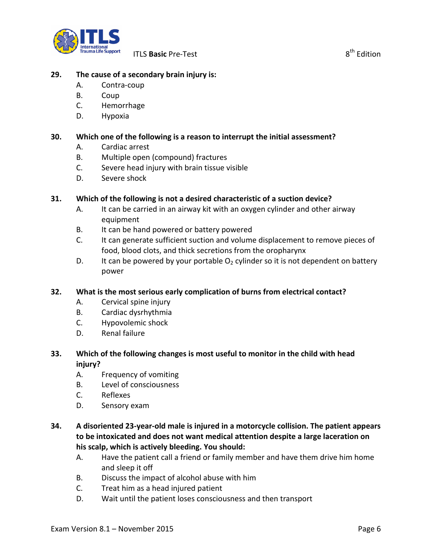

### **29. The cause of a secondary brain injury is:**

- A. Contra-coup
- B. Coup
- C. Hemorrhage
- D. Hypoxia

### **30. Which one of the following is a reason to interrupt the initial assessment?**

- A. Cardiac arrest
- B. Multiple open (compound) fractures
- C. Severe head injury with brain tissue visible
- D. Severe shock

#### **31. Which of the following is not a desired characteristic of a suction device?**

- A. It can be carried in an airway kit with an oxygen cylinder and other airway equipment
- B. It can be hand powered or battery powered
- C. It can generate sufficient suction and volume displacement to remove pieces of food, blood clots, and thick secretions from the oropharynx
- D. It can be powered by your portable  $O<sub>2</sub>$  cylinder so it is not dependent on battery power

#### **32. What is the most serious early complication of burns from electrical contact?**

- A. Cervical spine injury
- B. Cardiac dysrhythmia
- C. Hypovolemic shock
- D. Renal failure

# **33. Which of the following changes is most useful to monitor in the child with head injury?**

- A. Frequency of vomiting
- B. Level of consciousness
- C. Reflexes
- D. Sensory exam

# **34. A disoriented 23-year-old male is injured in a motorcycle collision. The patient appears to be intoxicated and does not want medical attention despite a large laceration on his scalp, which is actively bleeding. You should:**

- A. Have the patient call a friend or family member and have them drive him home and sleep it off
- B. Discuss the impact of alcohol abuse with him
- C. Treat him as a head injured patient
- D. Wait until the patient loses consciousness and then transport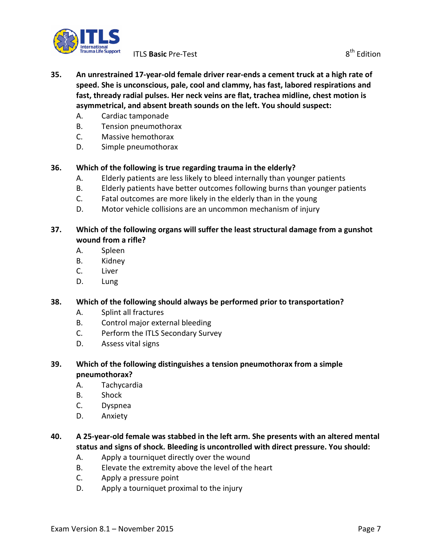

- **35. An unrestrained 17-year-old female driver rear-ends a cement truck at a high rate of speed. She is unconscious, pale, cool and clammy, has fast, labored respirations and fast, thready radial pulses. Her neck veins are flat, trachea midline, chest motion is asymmetrical, and absent breath sounds on the left. You should suspect:**
	- A. Cardiac tamponade
	- B. Tension pneumothorax
	- C. Massive hemothorax
	- D. Simple pneumothorax

#### **36. Which of the following is true regarding trauma in the elderly?**

- A. Elderly patients are less likely to bleed internally than younger patients
- B. Elderly patients have better outcomes following burns than younger patients
- C. Fatal outcomes are more likely in the elderly than in the young
- D. Motor vehicle collisions are an uncommon mechanism of injury

### **37. Which of the following organs will suffer the least structural damage from a gunshot wound from a rifle?**

- A. Spleen
- B. Kidney
- C. Liver
- D. Lung

#### **38. Which of the following should always be performed prior to transportation?**

- A. Splint all fractures
- B. Control major external bleeding
- C. Perform the ITLS Secondary Survey
- D. Assess vital signs
- **39. Which of the following distinguishes a tension pneumothorax from a simple pneumothorax?**
	- A. Tachycardia
	- B. Shock
	- C. Dyspnea
	- D. Anxiety

# **40. A 25-year-old female was stabbed in the left arm. She presents with an altered mental status and signs of shock. Bleeding is uncontrolled with direct pressure. You should:**

- A. Apply a tourniquet directly over the wound
- B. Elevate the extremity above the level of the heart
- C. Apply a pressure point
- D. Apply a tourniquet proximal to the injury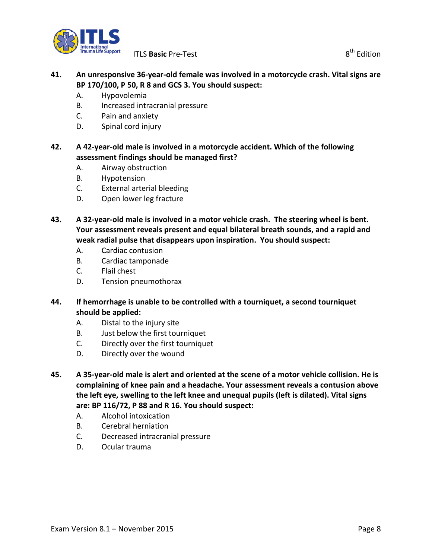

### **41. An unresponsive 36-year-old female was involved in a motorcycle crash. Vital signs are BP 170/100, P 50, R 8 and GCS 3. You should suspect:**

- A. Hypovolemia
- B. Increased intracranial pressure
- C. Pain and anxiety
- D. Spinal cord injury

### **42. A 42-year-old male is involved in a motorcycle accident. Which of the following assessment findings should be managed first?**

- A. Airway obstruction
- B. Hypotension
- C. External arterial bleeding
- D. Open lower leg fracture
- **43. A 32-year-old male is involved in a motor vehicle crash. The steering wheel is bent. Your assessment reveals present and equal bilateral breath sounds, and a rapid and weak radial pulse that disappears upon inspiration. You should suspect:**
	- A. Cardiac contusion
	- B. Cardiac tamponade
	- C. Flail chest
	- D. Tension pneumothorax
- **44. If hemorrhage is unable to be controlled with a tourniquet, a second tourniquet should be applied:**
	- A. Distal to the injury site
	- B. Just below the first tourniquet
	- C. Directly over the first tourniquet
	- D. Directly over the wound
- **45. A 35-year-old male is alert and oriented at the scene of a motor vehicle collision. He is complaining of knee pain and a headache. Your assessment reveals a contusion above the left eye, swelling to the left knee and unequal pupils (left is dilated). Vital signs are: BP 116/72, P 88 and R 16. You should suspect:**
	- A. Alcohol intoxication
	- B. Cerebral herniation
	- C. Decreased intracranial pressure
	- D. Ocular trauma